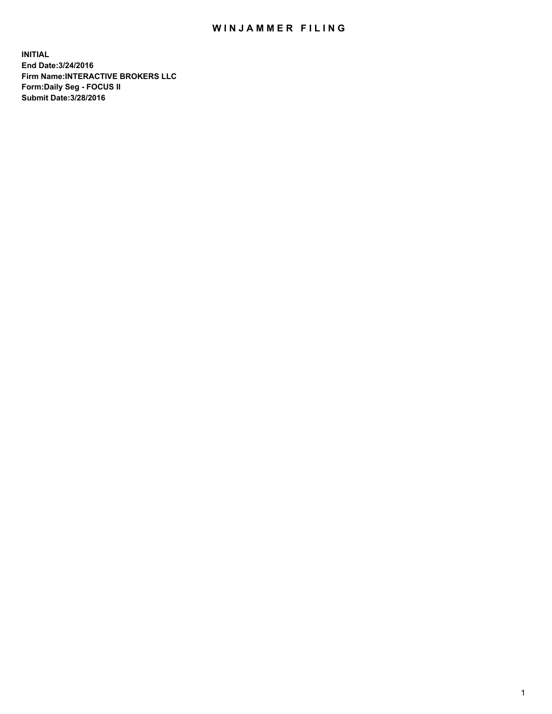## WIN JAMMER FILING

**INITIAL End Date:3/24/2016 Firm Name:INTERACTIVE BROKERS LLC Form:Daily Seg - FOCUS II Submit Date:3/28/2016**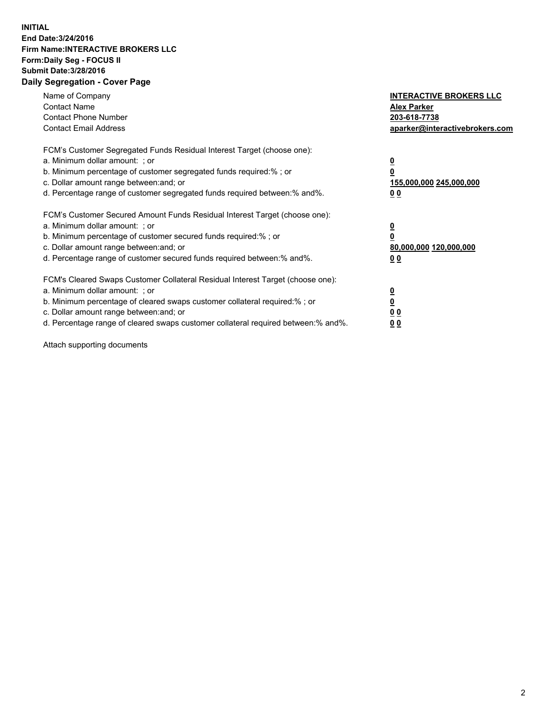## **INITIAL End Date:3/24/2016 Firm Name:INTERACTIVE BROKERS LLC Form:Daily Seg - FOCUS II Submit Date:3/28/2016 Daily Segregation - Cover Page**

| Name of Company<br><b>Contact Name</b><br><b>Contact Phone Number</b><br><b>Contact Email Address</b>                                                                                                                                                                                                                          | <b>INTERACTIVE BROKERS LLC</b><br><b>Alex Parker</b><br>203-618-7738<br>aparker@interactivebrokers.com |
|--------------------------------------------------------------------------------------------------------------------------------------------------------------------------------------------------------------------------------------------------------------------------------------------------------------------------------|--------------------------------------------------------------------------------------------------------|
| FCM's Customer Segregated Funds Residual Interest Target (choose one):<br>a. Minimum dollar amount: ; or<br>b. Minimum percentage of customer segregated funds required:%; or<br>c. Dollar amount range between: and; or<br>d. Percentage range of customer segregated funds required between:% and%.                          | <u>0</u><br>155,000,000 245,000,000<br><u>00</u>                                                       |
| FCM's Customer Secured Amount Funds Residual Interest Target (choose one):<br>a. Minimum dollar amount: ; or<br>b. Minimum percentage of customer secured funds required:%; or<br>c. Dollar amount range between: and; or<br>d. Percentage range of customer secured funds required between:% and%.                            | <u>0</u><br>80,000,000 120,000,000<br><u>00</u>                                                        |
| FCM's Cleared Swaps Customer Collateral Residual Interest Target (choose one):<br>a. Minimum dollar amount: ; or<br>b. Minimum percentage of cleared swaps customer collateral required:% ; or<br>c. Dollar amount range between: and; or<br>d. Percentage range of cleared swaps customer collateral required between:% and%. | <u>0</u><br>0 <sub>0</sub><br>0 <sub>0</sub>                                                           |

Attach supporting documents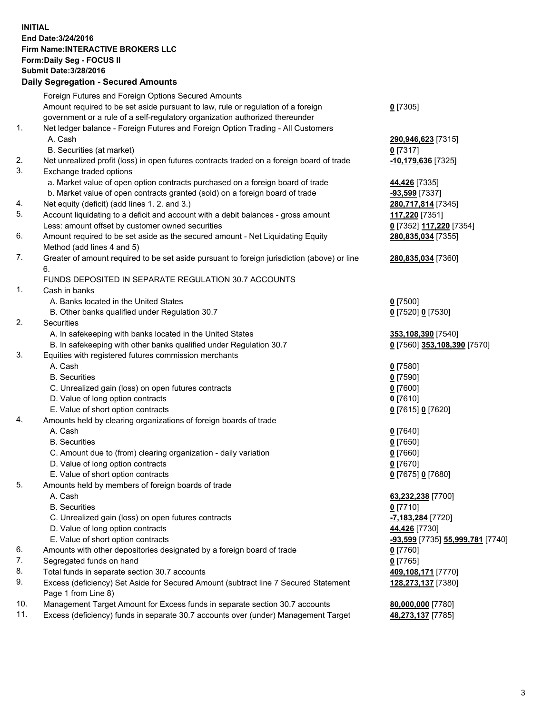## **INITIAL End Date:3/24/2016 Firm Name:INTERACTIVE BROKERS LLC Form:Daily Seg - FOCUS II Submit Date:3/28/2016 Daily Segregation - Secured Amounts**

|     | Daily Ocglegation - Occuled Amounts                                                                        |                                  |
|-----|------------------------------------------------------------------------------------------------------------|----------------------------------|
|     | Foreign Futures and Foreign Options Secured Amounts                                                        |                                  |
|     | Amount required to be set aside pursuant to law, rule or regulation of a foreign                           | $0$ [7305]                       |
|     | government or a rule of a self-regulatory organization authorized thereunder                               |                                  |
| 1.  | Net ledger balance - Foreign Futures and Foreign Option Trading - All Customers                            |                                  |
|     | A. Cash                                                                                                    | 290,946,623 [7315]               |
|     | B. Securities (at market)                                                                                  | $0$ [7317]                       |
| 2.  | Net unrealized profit (loss) in open futures contracts traded on a foreign board of trade                  | -10,179,636 [7325]               |
| 3.  | Exchange traded options                                                                                    |                                  |
|     | a. Market value of open option contracts purchased on a foreign board of trade                             | 44,426 [7335]                    |
|     | b. Market value of open contracts granted (sold) on a foreign board of trade                               | -93,599 [7337]                   |
| 4.  | Net equity (deficit) (add lines 1. 2. and 3.)                                                              | 280,717,814 [7345]               |
| 5.  | Account liquidating to a deficit and account with a debit balances - gross amount                          | 117,220 [7351]                   |
|     | Less: amount offset by customer owned securities                                                           | 0 [7352] 117,220 [7354]          |
| 6.  | Amount required to be set aside as the secured amount - Net Liquidating Equity                             | 280,835,034 [7355]               |
|     | Method (add lines 4 and 5)                                                                                 |                                  |
| 7.  | Greater of amount required to be set aside pursuant to foreign jurisdiction (above) or line                | 280,835,034 [7360]               |
|     | 6.                                                                                                         |                                  |
|     | FUNDS DEPOSITED IN SEPARATE REGULATION 30.7 ACCOUNTS                                                       |                                  |
| 1.  | Cash in banks                                                                                              |                                  |
|     | A. Banks located in the United States                                                                      | $0$ [7500]                       |
|     | B. Other banks qualified under Regulation 30.7                                                             | 0 [7520] 0 [7530]                |
| 2.  | Securities                                                                                                 |                                  |
|     | A. In safekeeping with banks located in the United States                                                  | 353,108,390 [7540]               |
|     | B. In safekeeping with other banks qualified under Regulation 30.7                                         | 0 [7560] 353,108,390 [7570]      |
| 3.  | Equities with registered futures commission merchants                                                      |                                  |
|     | A. Cash                                                                                                    | $0$ [7580]                       |
|     | <b>B.</b> Securities                                                                                       | $0$ [7590]                       |
|     | C. Unrealized gain (loss) on open futures contracts                                                        | $0$ [7600]                       |
|     | D. Value of long option contracts                                                                          | $0$ [7610]                       |
|     | E. Value of short option contracts                                                                         | 0 [7615] 0 [7620]                |
| 4.  | Amounts held by clearing organizations of foreign boards of trade                                          |                                  |
|     | A. Cash                                                                                                    | $0$ [7640]                       |
|     | <b>B.</b> Securities                                                                                       | $0$ [7650]                       |
|     | C. Amount due to (from) clearing organization - daily variation                                            | $0$ [7660]                       |
|     | D. Value of long option contracts                                                                          | $0$ [7670]                       |
|     | E. Value of short option contracts                                                                         | 0 [7675] 0 [7680]                |
| 5.  | Amounts held by members of foreign boards of trade                                                         |                                  |
|     | A. Cash                                                                                                    | 63,232,238 [7700]                |
|     | <b>B.</b> Securities                                                                                       | $0$ [7710]                       |
|     | C. Unrealized gain (loss) on open futures contracts                                                        | -7,183,284 [7720]                |
|     | D. Value of long option contracts                                                                          | 44,426 [7730]                    |
|     | E. Value of short option contracts                                                                         | -93,599 [7735] 55,999,781 [7740] |
| 6.  | Amounts with other depositories designated by a foreign board of trade                                     | 0 [7760]                         |
| 7.  | Segregated funds on hand                                                                                   | $0$ [7765]                       |
| 8.  | Total funds in separate section 30.7 accounts                                                              | 409,108,171 [7770]               |
| 9.  | Excess (deficiency) Set Aside for Secured Amount (subtract line 7 Secured Statement<br>Page 1 from Line 8) | 128,273,137 [7380]               |
| 10. | Management Target Amount for Excess funds in separate section 30.7 accounts                                | 80,000,000 [7780]                |
| 11. | Excess (deficiency) funds in separate 30.7 accounts over (under) Management Target                         | 48,273,137 [7785]                |
|     |                                                                                                            |                                  |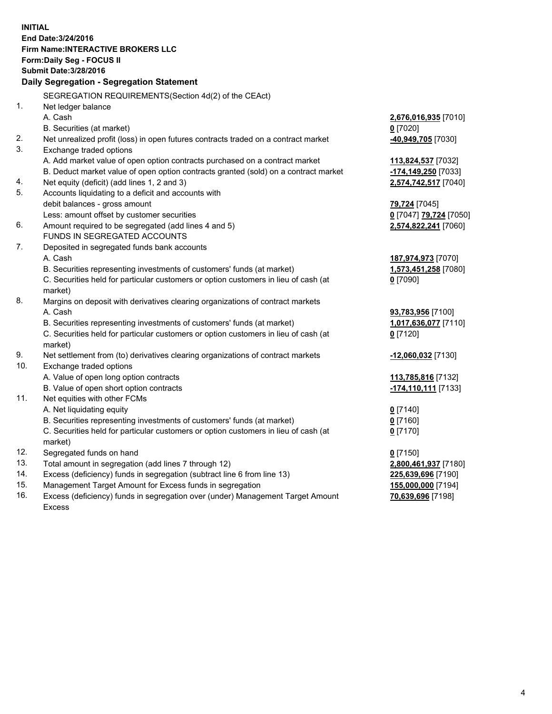**INITIAL End Date:3/24/2016 Firm Name:INTERACTIVE BROKERS LLC Form:Daily Seg - FOCUS II Submit Date:3/28/2016 Daily Segregation - Segregation Statement** SEGREGATION REQUIREMENTS(Section 4d(2) of the CEAct) 1. Net ledger balance A. Cash **2,676,016,935** [7010] B. Securities (at market) **0** [7020] 2. Net unrealized profit (loss) in open futures contracts traded on a contract market **-40,949,705** [7030] 3. Exchange traded options A. Add market value of open option contracts purchased on a contract market **113,824,537** [7032] B. Deduct market value of open option contracts granted (sold) on a contract market **-174,149,250** [7033] 4. Net equity (deficit) (add lines 1, 2 and 3) **2,574,742,517** [7040] 5. Accounts liquidating to a deficit and accounts with debit balances - gross amount **79,724** [7045] Less: amount offset by customer securities **0** [7047] **79,724** [7050] 6. Amount required to be segregated (add lines 4 and 5) **2,574,822,241** [7060] FUNDS IN SEGREGATED ACCOUNTS 7. Deposited in segregated funds bank accounts A. Cash **187,974,973** [7070] B. Securities representing investments of customers' funds (at market) **1,573,451,258** [7080] C. Securities held for particular customers or option customers in lieu of cash (at market) **0** [7090] 8. Margins on deposit with derivatives clearing organizations of contract markets A. Cash **93,783,956** [7100] B. Securities representing investments of customers' funds (at market) **1,017,636,077** [7110] C. Securities held for particular customers or option customers in lieu of cash (at market) **0** [7120] 9. Net settlement from (to) derivatives clearing organizations of contract markets **-12,060,032** [7130] 10. Exchange traded options A. Value of open long option contracts **113,785,816** [7132] B. Value of open short option contracts **-174,110,111** [7133] 11. Net equities with other FCMs A. Net liquidating equity **0** [7140] B. Securities representing investments of customers' funds (at market) **0** [7160] C. Securities held for particular customers or option customers in lieu of cash (at market) **0** [7170] 12. Segregated funds on hand **0** [7150] 13. Total amount in segregation (add lines 7 through 12) **2,800,461,937** [7180] 14. Excess (deficiency) funds in segregation (subtract line 6 from line 13) **225,639,696** [7190] 15. Management Target Amount for Excess funds in segregation **155,000,000** [7194] **70,639,696** [7198]

16. Excess (deficiency) funds in segregation over (under) Management Target Amount Excess